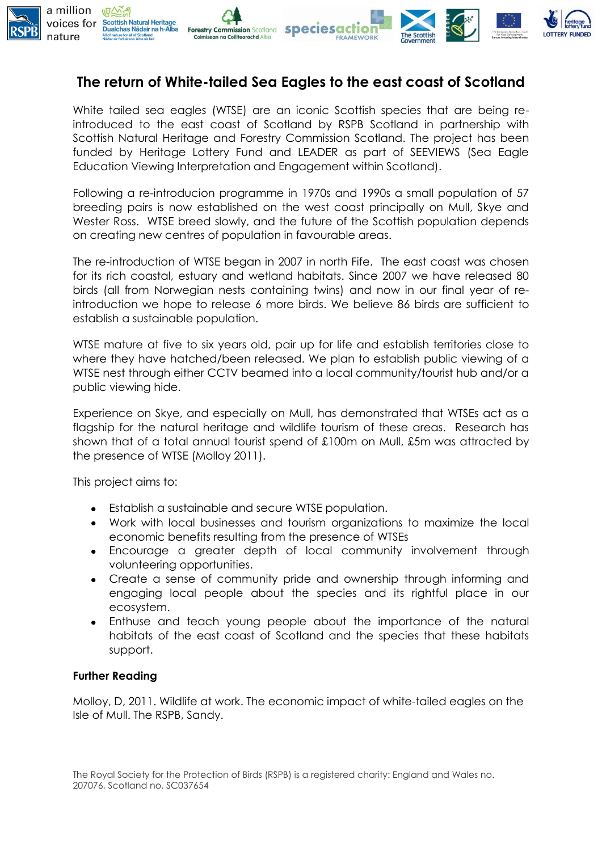

## **The return of White-tailed Sea Eagles to the east coast of Scotland**

White tailed sea eagles (WTSE) are an iconic Scottish species that are being reintroduced to the east coast of Scotland by RSPB Scotland in partnership with Scottish Natural Heritage and Forestry Commission Scotland. The project has been funded by Heritage Lottery Fund and LEADER as part of SEEVIEWS (Sea Eagle Education Viewing Interpretation and Engagement within Scotland).

Following a re-introducion programme in 1970s and 1990s a small population of 57 breeding pairs is now established on the west coast principally on Mull, Skye and Wester Ross. WTSE breed slowly, and the future of the Scottish population depends on creating new centres of population in favourable areas.

The re-introduction of WTSE began in 2007 in north Fife. The east coast was chosen for its rich coastal, estuary and wetland habitats. Since 2007 we have released 80 birds (all from Norwegian nests containing twins) and now in our final year of reintroduction we hope to release 6 more birds. We believe 86 birds are sufficient to establish a sustainable population.

WTSE mature at five to six years old, pair up for life and establish territories close to where they have hatched/been released. We plan to establish public viewing of a WTSE nest through either CCTV beamed into a local community/tourist hub and/or a public viewing hide.

Experience on Skye, and especially on Mull, has demonstrated that WTSEs act as a flagship for the natural heritage and wildlife tourism of these areas. Research has shown that of a total annual tourist spend of £100m on Mull, £5m was attracted by the presence of WTSE (Molloy 2011).

This project aims to:

- Establish a sustainable and secure WTSE population.
- Work with local businesses and tourism organizations to maximize the local economic benefits resulting from the presence of WTSEs
- Encourage a greater depth of local community involvement through  $\bullet$ volunteering opportunities.
- Create a sense of community pride and ownership through informing and  $\bullet$ engaging local people about the species and its rightful place in our ecosystem.
- Enthuse and teach young people about the importance of the natural habitats of the east coast of Scotland and the species that these habitats support.

## **Further Reading**

Molloy, D, 2011. Wildlife at work. The economic impact of white-tailed eagles on the Isle of Mull. The RSPB, Sandy.